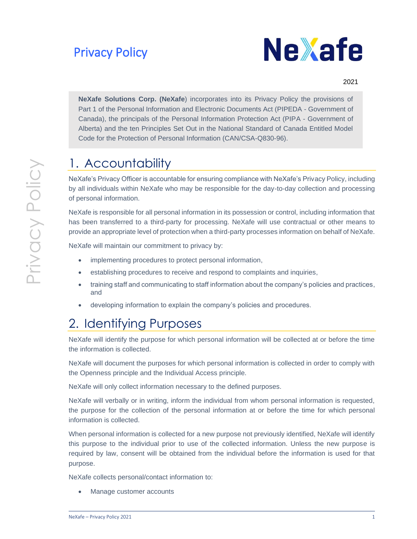## Privacy Policy



### <sup>2021</sup>

**NeXafe Solutions Corp. (NeXafe**) incorporates into its Privacy Policy the provisions of Part 1 of the Personal Information and Electronic Documents Act (PIPEDA - Government of Canada), the principals of the Personal Information Protection Act (PIPA - Government of Alberta) and the ten Principles Set Out in the National Standard of Canada Entitled Model Code for the Protection of Personal Information (CAN/CSA-Q830-96).

### 1. Accountability

NeXafe's Privacy Officer is accountable for ensuring compliance with NeXafe's Privacy Policy, including by all individuals within NeXafe who may be responsible for the day-to-day collection and processing of personal information.

NeXafe is responsible for all personal information in its possession or control, including information that has been transferred to a third-party for processing. NeXafe will use contractual or other means to provide an appropriate level of protection when a third-party processes information on behalf of NeXafe.

NeXafe will maintain our commitment to privacy by:

- implementing procedures to protect personal information,
- establishing procedures to receive and respond to complaints and inquiries,
- training staff and communicating to staff information about the company's policies and practices, and
- developing information to explain the company's policies and procedures.

## 2. Identifying Purposes

NeXafe will identify the purpose for which personal information will be collected at or before the time the information is collected.

NeXafe will document the purposes for which personal information is collected in order to comply with the Openness principle and the Individual Access principle.

NeXafe will only collect information necessary to the defined purposes.

NeXafe will verbally or in writing, inform the individual from whom personal information is requested, the purpose for the collection of the personal information at or before the time for which personal information is collected.

When personal information is collected for a new purpose not previously identified, NeXafe will identify this purpose to the individual prior to use of the collected information. Unless the new purpose is required by law, consent will be obtained from the individual before the information is used for that purpose.

NeXafe collects personal/contact information to:

• Manage customer accounts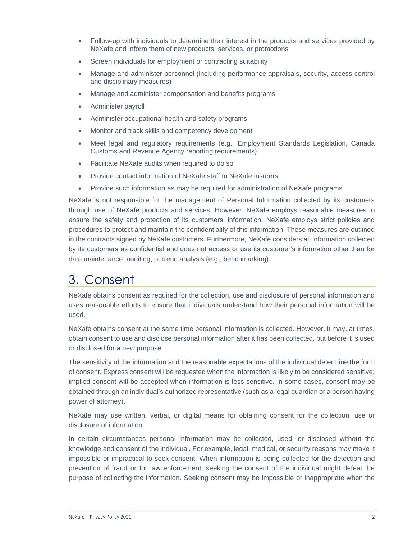- Follow-up with individuals to determine their interest in the products and services provided by NeXafe and inform them of new products, services, or promotions
- Screen individuals for employment or contracting suitability
- Manage and administer personnel (including performance appraisals, security, access control and disciplinary measures)
- Manage and administer compensation and benefits programs
- Administer payroll
- Administer occupational health and safety programs
- Monitor and track skills and competency development
- Meet legal and regulatory requirements (e.g., Employment Standards Legislation, Canada Customs and Revenue Agency reporting requirements)
- Facilitate NeXafe audits when required to do so
- Provide contact information of NeXafe staff to NeXafe insurers
- Provide such information as may be required for administration of NeXafe programs

NeXafe is not responsible for the management of Personal Information collected by its customers through use of NeXafe products and services. However, NeXafe employs reasonable measures to ensure the safety and protection of its customers' information. NeXafe employs strict policies and procedures to protect and maintain the confidentiality of this information. These measures are outlined in the contracts signed by NeXafe customers. Furthermore, NeXafe considers all information collected by its customers as confidential and does not access or use its customer's information other than for data maintenance, auditing, or trend analysis (e.g., benchmarking).

## 3. Consent

NeXafe obtains consent as required for the collection, use and disclosure of personal information and uses reasonable efforts to ensure that individuals understand how their personal information will be used.

NeXafe obtains consent at the same time personal information is collected. However, it may, at times, obtain consent to use and disclose personal information after it has been collected, but before it is used or disclosed for a new purpose.

The sensitivity of the information and the reasonable expectations of the individual determine the form of consent. Express consent will be requested when the information is likely to be considered sensitive; implied consent will be accepted when information is less sensitive. In some cases, consent may be obtained through an individual's authorized representative (such as a legal guardian or a person having power of attorney).

NeXafe may use written, verbal, or digital means for obtaining consent for the collection, use or disclosure of information.

In certain circumstances personal information may be collected, used, or disclosed without the knowledge and consent of the individual. For example, legal, medical, or security reasons may make it impossible or impractical to seek consent. When information is being collected for the detection and prevention of fraud or for law enforcement, seeking the consent of the individual might defeat the purpose of collecting the information. Seeking consent may be impossible or inappropriate when the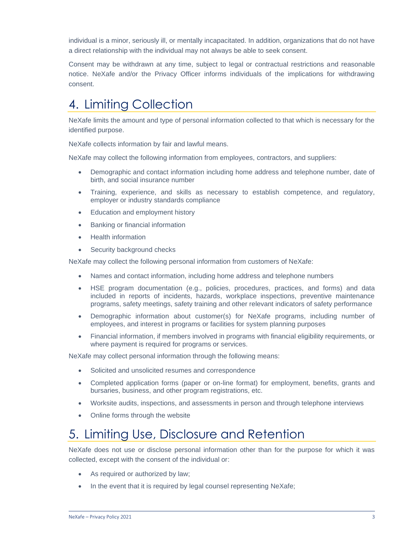individual is a minor, seriously ill, or mentally incapacitated. In addition, organizations that do not have a direct relationship with the individual may not always be able to seek consent.

Consent may be withdrawn at any time, subject to legal or contractual restrictions and reasonable notice. NeXafe and/or the Privacy Officer informs individuals of the implications for withdrawing consent.

## 4. Limiting Collection

NeXafe limits the amount and type of personal information collected to that which is necessary for the identified purpose.

NeXafe collects information by fair and lawful means.

NeXafe may collect the following information from employees, contractors, and suppliers:

- Demographic and contact information including home address and telephone number, date of birth, and social insurance number
- Training, experience, and skills as necessary to establish competence, and regulatory, employer or industry standards compliance
- Education and employment history
- Banking or financial information
- Health information
- Security background checks

NeXafe may collect the following personal information from customers of NeXafe:

- Names and contact information, including home address and telephone numbers
- HSE program documentation (e.g., policies, procedures, practices, and forms) and data included in reports of incidents, hazards, workplace inspections, preventive maintenance programs, safety meetings, safety training and other relevant indicators of safety performance
- Demographic information about customer(s) for NeXafe programs, including number of employees, and interest in programs or facilities for system planning purposes
- Financial information, if members involved in programs with financial eligibility requirements, or where payment is required for programs or services.

NeXafe may collect personal information through the following means:

- Solicited and unsolicited resumes and correspondence
- Completed application forms (paper or on-line format) for employment, benefits, grants and bursaries, business, and other program registrations, etc.
- Worksite audits, inspections, and assessments in person and through telephone interviews
- Online forms through the website

## 5. Limiting Use, Disclosure and Retention

NeXafe does not use or disclose personal information other than for the purpose for which it was collected, except with the consent of the individual or:

- As required or authorized by law;
- In the event that it is required by legal counsel representing NeXafe;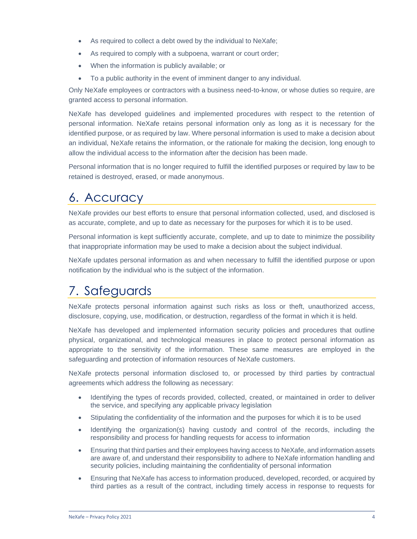- As required to collect a debt owed by the individual to NeXafe;
- As required to comply with a subpoena, warrant or court order;
- When the information is publicly available; or
- To a public authority in the event of imminent danger to any individual.

Only NeXafe employees or contractors with a business need-to-know, or whose duties so require, are granted access to personal information.

NeXafe has developed guidelines and implemented procedures with respect to the retention of personal information. NeXafe retains personal information only as long as it is necessary for the identified purpose, or as required by law. Where personal information is used to make a decision about an individual, NeXafe retains the information, or the rationale for making the decision, long enough to allow the individual access to the information after the decision has been made.

Personal information that is no longer required to fulfill the identified purposes or required by law to be retained is destroyed, erased, or made anonymous.

## 6. Accuracy

NeXafe provides our best efforts to ensure that personal information collected, used, and disclosed is as accurate, complete, and up to date as necessary for the purposes for which it is to be used.

Personal information is kept sufficiently accurate, complete, and up to date to minimize the possibility that inappropriate information may be used to make a decision about the subject individual.

NeXafe updates personal information as and when necessary to fulfill the identified purpose or upon notification by the individual who is the subject of the information.

# 7. Safeguards

NeXafe protects personal information against such risks as loss or theft, unauthorized access, disclosure, copying, use, modification, or destruction, regardless of the format in which it is held.

NeXafe has developed and implemented information security policies and procedures that outline physical, organizational, and technological measures in place to protect personal information as appropriate to the sensitivity of the information. These same measures are employed in the safeguarding and protection of information resources of NeXafe customers.

NeXafe protects personal information disclosed to, or processed by third parties by contractual agreements which address the following as necessary:

- Identifying the types of records provided, collected, created, or maintained in order to deliver the service, and specifying any applicable privacy legislation
- Stipulating the confidentiality of the information and the purposes for which it is to be used
- Identifying the organization(s) having custody and control of the records, including the responsibility and process for handling requests for access to information
- Ensuring that third parties and their employees having access to NeXafe, and information assets are aware of, and understand their responsibility to adhere to NeXafe information handling and security policies, including maintaining the confidentiality of personal information
- Ensuring that NeXafe has access to information produced, developed, recorded, or acquired by third parties as a result of the contract, including timely access in response to requests for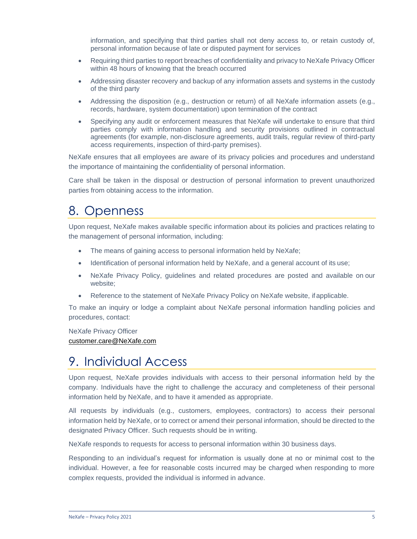information, and specifying that third parties shall not deny access to, or retain custody of, personal information because of late or disputed payment for services

- Requiring third parties to report breaches of confidentiality and privacy to NeXafe Privacy Officer within 48 hours of knowing that the breach occurred
- Addressing disaster recovery and backup of any information assets and systems in the custody of the third party
- Addressing the disposition (e.g., destruction or return) of all NeXafe information assets (e.g., records, hardware, system documentation) upon termination of the contract
- Specifying any audit or enforcement measures that NeXafe will undertake to ensure that third parties comply with information handling and security provisions outlined in contractual agreements (for example, non-disclosure agreements, audit trails, regular review of third-party access requirements, inspection of third-party premises).

NeXafe ensures that all employees are aware of its privacy policies and procedures and understand the importance of maintaining the confidentiality of personal information.

Care shall be taken in the disposal or destruction of personal information to prevent unauthorized parties from obtaining access to the information.

## 8. Openness

Upon request, NeXafe makes available specific information about its policies and practices relating to the management of personal information, including:

- The means of gaining access to personal information held by NeXafe;
- Identification of personal information held by NeXafe, and a general account of its use;
- NeXafe Privacy Policy, guidelines and related procedures are posted and available on our website;
- Reference to the statement of NeXafe Privacy Policy on NeXafe website, if applicable.

To make an inquiry or lodge a complaint about NeXafe personal information handling policies and procedures, contact:

NeXafe Privacy Officer [customer.care@NeXafe.com](mailto:customer.care@ABCanada.com)

## 9. Individual Access

Upon request, NeXafe provides individuals with access to their personal information held by the company. Individuals have the right to challenge the accuracy and completeness of their personal information held by NeXafe, and to have it amended as appropriate.

All requests by individuals (e.g., customers, employees, contractors) to access their personal information held by NeXafe, or to correct or amend their personal information, should be directed to the designated Privacy Officer. Such requests should be in writing.

NeXafe responds to requests for access to personal information within 30 business days.

Responding to an individual's request for information is usually done at no or minimal cost to the individual. However, a fee for reasonable costs incurred may be charged when responding to more complex requests, provided the individual is informed in advance.